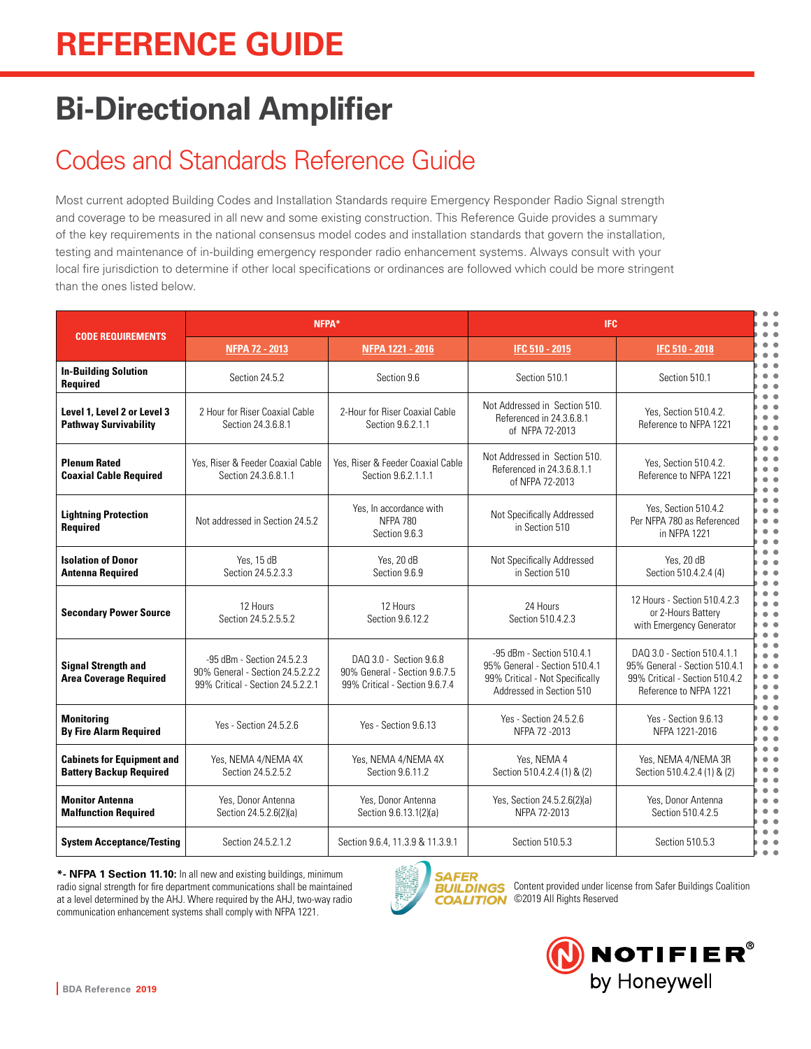# **Bi-Directional Amplifier**

## Codes and Standards Reference Guide

Most current adopted Building Codes and Installation Standards require Emergency Responder Radio Signal strength and coverage to be measured in all new and some existing construction. This Reference Guide provides a summary of the key requirements in the national consensus model codes and installation standards that govern the installation, testing and maintenance of in-building emergency responder radio enhancement systems. Always consult with your local fire jurisdiction to determine if other local specifications or ordinances are followed which could be more stringent than the ones listed below.

| <b>CODE REQUIREMENTS</b>                                            | NFPA*                                                                                               |                                                                                            | <b>IFC</b>                                                                                                                |                                                                                                                          |
|---------------------------------------------------------------------|-----------------------------------------------------------------------------------------------------|--------------------------------------------------------------------------------------------|---------------------------------------------------------------------------------------------------------------------------|--------------------------------------------------------------------------------------------------------------------------|
|                                                                     | <b>NFPA 72 - 2013</b>                                                                               | NFPA 1221 - 2016                                                                           | <b>IFC 510 - 2015</b>                                                                                                     | IFC 510 - 2018                                                                                                           |
| <b>In-Building Solution</b><br>Required                             | Section 24.5.2                                                                                      | Section 9.6                                                                                | Section 510.1                                                                                                             | Section 510.1                                                                                                            |
| Level 1. Level 2 or Level 3<br><b>Pathway Survivability</b>         | 2 Hour for Riser Coaxial Cable<br>Section 24.3.6.8.1                                                | 2-Hour for Riser Coaxial Cable<br>Section 9.6.2.1.1                                        | Not Addressed in Section 510.<br>Referenced in 24.3.6.8.1<br>of NFPA 72-2013                                              | Yes. Section 510.4.2.<br>Reference to NFPA 1221                                                                          |
| <b>Plenum Rated</b><br><b>Coaxial Cable Required</b>                | Yes, Riser & Feeder Coaxial Cable<br>Section 24.3.6.8.1.1                                           | Yes, Riser & Feeder Coaxial Cable<br>Section 9.6.2.1.1.1                                   | Not Addressed in Section 510.<br>Referenced in 24.3.6.8.1.1<br>of NFPA 72-2013                                            | Yes. Section 510.4.2.<br>Reference to NFPA 1221                                                                          |
| <b>Lightning Protection</b><br><b>Required</b>                      | Not addressed in Section 24.5.2                                                                     | Yes, In accordance with<br><b>NFPA 780</b><br>Section 9.6.3                                | Not Specifically Addressed<br>in Section 510                                                                              | Yes, Section 510.4.2<br>Per NFPA 780 as Referenced<br>in NFPA 1221                                                       |
| <b>Isolation of Donor</b><br><b>Antenna Required</b>                | Yes, 15 dB<br>Section 24.5.2.3.3                                                                    | Yes, 20 dB<br>Section 9.6.9                                                                | Not Specifically Addressed<br>in Section 510                                                                              | Yes, 20 dB<br>Section 510.4.2.4 (4)                                                                                      |
| <b>Secondary Power Source</b>                                       | 12 Hours<br>Section 24.5.2.5.5.2                                                                    | 12 Hours<br>Section 9.6.12.2                                                               | 24 Hours<br>Section 510.4.2.3                                                                                             | 12 Hours - Section 510.4.2.3<br>or 2-Hours Battery<br>with Emergency Generator                                           |
| <b>Signal Strength and</b><br><b>Area Coverage Required</b>         | -95 dBm - Section 24.5.2.3<br>90% General - Section 24.5.2.2.2<br>99% Critical - Section 24.5.2.2.1 | DAQ 3.0 - Section 9.6.8<br>90% General - Section 9.6.7.5<br>99% Critical - Section 9.6.7.4 | -95 dBm - Section 510.4.1<br>95% General - Section 510.4.1<br>99% Critical - Not Specifically<br>Addressed in Section 510 | DAQ 3.0 - Section 510.4.1.1<br>95% General - Section 510.4.1<br>99% Critical - Section 510.4.2<br>Reference to NFPA 1221 |
| <b>Monitoring</b><br><b>By Fire Alarm Required</b>                  | Yes - Section 24.5.2.6                                                                              | Yes - Section 9.6.13                                                                       | Yes - Section 24.5.2.6<br>NFPA 72 - 2013                                                                                  | Yes - Section 9.6.13<br>NFPA 1221-2016                                                                                   |
| <b>Cabinets for Equipment and</b><br><b>Battery Backup Required</b> | Yes, NEMA 4/NEMA 4X<br>Section 24.5.2.5.2                                                           | Yes, NEMA 4/NEMA 4X<br>Section 9.6.11.2                                                    | Yes, NEMA 4<br>Section 510.4.2.4 (1) & (2)                                                                                | Yes, NEMA 4/NEMA 3R<br>Section 510.4.2.4 (1) & (2)                                                                       |
| <b>Monitor Antenna</b><br><b>Malfunction Required</b>               | Yes. Donor Antenna<br>Section 24.5.2.6(2)(a)                                                        | Yes. Donor Antenna<br>Section 9.6.13.1(2)(a)                                               | Yes, Section 24.5.2.6(2)(a)<br>NFPA 72-2013                                                                               | Yes, Donor Antenna<br>Section 510.4.2.5                                                                                  |
| <b>System Acceptance/Testing</b>                                    | Section 24.5.2.1.2                                                                                  | Section 9.6.4, 11.3.9 & 11.3.9.1                                                           | Section 510.5.3                                                                                                           | Section 510.5.3                                                                                                          |

**\*- NFPA 1 Section 11.10:** In all new and existing buildings, minimum radio signal strength for fire department communications shall be maintained at a level determined by the AHJ. Where required by the AHJ, two-way radio communication enhancement systems shall comply with NFPA 1221.



**BUILDINGS** Content provided under license from Safer Buildings Coalition COALITION ©2019 All Rights Reserved